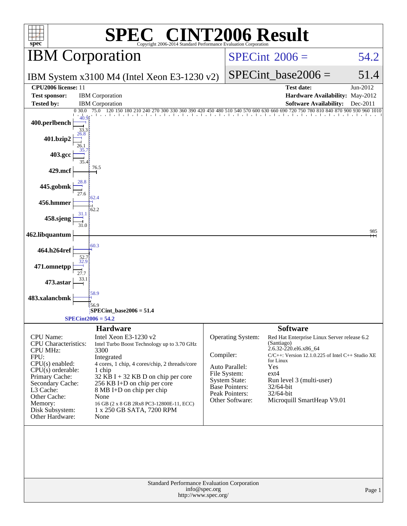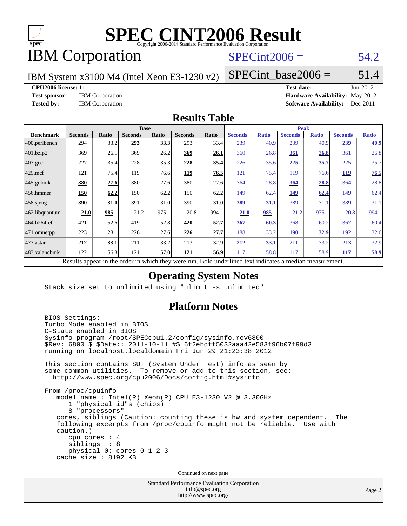

# IBM Corporation

# $SPECint2006 = 54.2$  $SPECint2006 = 54.2$

IBM System x3100 M4 (Intel Xeon E3-1230 v2)

 $SPECTnt\_base2006 = 51.4$ 

#### **[CPU2006 license:](http://www.spec.org/auto/cpu2006/Docs/result-fields.html#CPU2006license)** 11 **[Test date:](http://www.spec.org/auto/cpu2006/Docs/result-fields.html#Testdate)** Jun-2012

**[Test sponsor:](http://www.spec.org/auto/cpu2006/Docs/result-fields.html#Testsponsor)** IBM Corporation **[Hardware Availability:](http://www.spec.org/auto/cpu2006/Docs/result-fields.html#HardwareAvailability)** May-2012 **[Tested by:](http://www.spec.org/auto/cpu2006/Docs/result-fields.html#Testedby)** IBM Corporation **[Software Availability:](http://www.spec.org/auto/cpu2006/Docs/result-fields.html#SoftwareAvailability)** Dec-2011

#### **[Results Table](http://www.spec.org/auto/cpu2006/Docs/result-fields.html#ResultsTable)**

|                         | <b>Base</b>                                      |       |                |       |                |             | <b>Peak</b>                                         |              |                |              |                |              |
|-------------------------|--------------------------------------------------|-------|----------------|-------|----------------|-------------|-----------------------------------------------------|--------------|----------------|--------------|----------------|--------------|
| <b>Benchmark</b>        | <b>Seconds</b>                                   | Ratio | <b>Seconds</b> | Ratio | <b>Seconds</b> | Ratio       | <b>Seconds</b>                                      | <b>Ratio</b> | <b>Seconds</b> | <b>Ratio</b> | <b>Seconds</b> | <b>Ratio</b> |
| $ 400.\text{perlbench}$ | 294                                              | 33.2  | 293            | 33.3  | 293            | 33.4        | 239                                                 | 40.9         | 239            | 40.9         | <u>239</u>     | 40.9         |
| 401.bzip2               | 369                                              | 26.1  | 369            | 26.2  | 369            | 26.1        | 360                                                 | 26.8         | 361            | 26.8         | 361            | 26.8         |
| $403.\text{gcc}$        | 227                                              | 35.4  | 228            | 35.3  | 228            | <u>35.4</u> | 226                                                 | 35.6         | 225            | 35.7         | 225            | 35.7         |
| $429$ .mcf              | 121                                              | 75.4  | 119            | 76.6  | 119            | 76.5        | 121                                                 | 75.4         | 119            | 76.6         | 119            | 76.5         |
| $445$ .gobmk            | 380                                              | 27.6  | 380            | 27.6  | 380            | 27.6        | 364                                                 | 28.8         | 364            | 28.8         | 364            | 28.8         |
| 456.hmmer               | 150                                              | 62.2  | 150            | 62.2  | 150            | 62.2        | 149                                                 | 62.4         | 149            | 62.4         | 149            | 62.4         |
| $458$ .sjeng            | 390                                              | 31.0  | 391            | 31.0  | 390            | 31.0        | 389                                                 | 31.1         | 389            | 31.1         | 389            | 31.1         |
| 462.libquantum          | 21.0                                             | 985   | 21.2           | 975   | 20.8           | 994         | 21.0                                                | 985          | 21.2           | 975          | 20.8           | 994          |
| 464.h264ref             | 421                                              | 52.6  | 419            | 52.8  | 420            | <u>52.7</u> | 367                                                 | 60.3         | 368            | 60.2         | 367            | 60.4         |
| 471.omnetpp             | 223                                              | 28.1  | 226            | 27.6  | 226            | 27.7        | 188                                                 | 33.2         | <b>190</b>     | 32.9         | 192            | 32.6         |
| $473$ . astar           | 212                                              | 33.1  | 211            | 33.2  | 213            | 32.9        | 212                                                 | 33.1         | 211            | 33.2         | 213            | 32.9         |
| 483.xalancbmk           | 122                                              | 56.8  | 121            | 57.0  | 121            | 56.9        | 117                                                 | 58.8         | 117            | 58.9         | 117            | 58.9         |
|                         | Decute ennoye in the endor in which they were my |       |                |       |                |             | Dold underlined text indicates a madian measurement |              |                |              |                |              |

Results appear in the [order in which they were run.](http://www.spec.org/auto/cpu2006/Docs/result-fields.html#RunOrder) Bold underlined text [indicates a median measurement.](http://www.spec.org/auto/cpu2006/Docs/result-fields.html#Median)

### **[Operating System Notes](http://www.spec.org/auto/cpu2006/Docs/result-fields.html#OperatingSystemNotes)**

Stack size set to unlimited using "ulimit -s unlimited"

### **[Platform Notes](http://www.spec.org/auto/cpu2006/Docs/result-fields.html#PlatformNotes)**

 BIOS Settings: Turbo Mode enabled in BIOS C-State enabled in BIOS Sysinfo program /root/SPECcpu1.2/config/sysinfo.rev6800 \$Rev: 6800 \$ \$Date:: 2011-10-11 #\$ 6f2ebdff5032aaa42e583f96b07f99d3 running on localhost.localdomain Fri Jun 29 21:23:38 2012 This section contains SUT (System Under Test) info as seen by some common utilities. To remove or add to this section, see: <http://www.spec.org/cpu2006/Docs/config.html#sysinfo> From /proc/cpuinfo model name : Intel(R) Xeon(R) CPU E3-1230 V2 @ 3.30GHz 1 "physical id"s (chips) 8 "processors" cores, siblings (Caution: counting these is hw and system dependent. The following excerpts from /proc/cpuinfo might not be reliable. Use with caution.) cpu cores : 4 siblings : 8 physical 0: cores 0 1 2 3 cache size : 8192 KB Continued on next page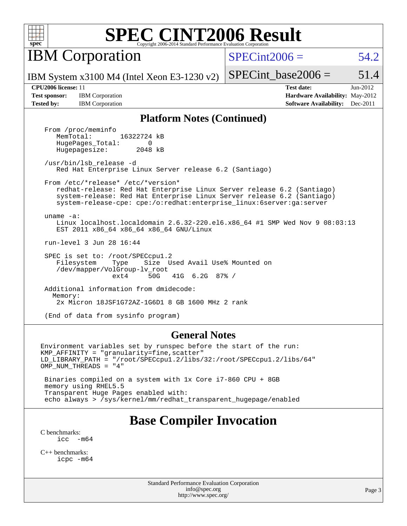

**IBM** Corporation

 $SPECint2006 = 54.2$  $SPECint2006 = 54.2$ 

IBM System x3100 M4 (Intel Xeon E3-1230 v2)

SPECint base2006 =  $51.4$ 

**[Test sponsor:](http://www.spec.org/auto/cpu2006/Docs/result-fields.html#Testsponsor)** IBM Corporation **[Hardware Availability:](http://www.spec.org/auto/cpu2006/Docs/result-fields.html#HardwareAvailability)** May-2012

**[CPU2006 license:](http://www.spec.org/auto/cpu2006/Docs/result-fields.html#CPU2006license)** 11 **[Test date:](http://www.spec.org/auto/cpu2006/Docs/result-fields.html#Testdate)** Jun-2012 **[Tested by:](http://www.spec.org/auto/cpu2006/Docs/result-fields.html#Testedby)** IBM Corporation **[Software Availability:](http://www.spec.org/auto/cpu2006/Docs/result-fields.html#SoftwareAvailability)** Dec-2011

#### **[Platform Notes \(Continued\)](http://www.spec.org/auto/cpu2006/Docs/result-fields.html#PlatformNotes)**

From /proc/meminfo<br>MemTotal: 16322724 kB HugePages\_Total: 0<br>Hugepagesize: 2048 kB Hugepagesize:

 /usr/bin/lsb\_release -d Red Hat Enterprise Linux Server release 6.2 (Santiago)

From /etc/\*release\* /etc/\*version\*

 redhat-release: Red Hat Enterprise Linux Server release 6.2 (Santiago) system-release: Red Hat Enterprise Linux Server release 6.2 (Santiago) system-release-cpe: cpe:/o:redhat:enterprise\_linux:6server:ga:server

 uname -a: Linux localhost.localdomain 2.6.32-220.el6.x86\_64 #1 SMP Wed Nov 9 08:03:13 EST 2011 x86\_64 x86\_64 x86\_64 GNU/Linux

run-level 3 Jun 28 16:44

 SPEC is set to: /root/SPECcpu1.2 Filesystem Type Size Used Avail Use% Mounted on /dev/mapper/VolGroup-lv\_root ext4 50G 41G 6.2G 87% /

 Additional information from dmidecode: Memory: 2x Micron 18JSF1G72AZ-1G6D1 8 GB 1600 MHz 2 rank

(End of data from sysinfo program)

#### **[General Notes](http://www.spec.org/auto/cpu2006/Docs/result-fields.html#GeneralNotes)**

Environment variables set by runspec before the start of the run: KMP\_AFFINITY = "granularity=fine,scatter" LD\_LIBRARY\_PATH = "/root/SPECcpu1.2/libs/32:/root/SPECcpu1.2/libs/64" OMP NUM THREADS = "4"

 Binaries compiled on a system with 1x Core i7-860 CPU + 8GB memory using RHEL5.5 Transparent Huge Pages enabled with: echo always > /sys/kernel/mm/redhat\_transparent\_hugepage/enabled

# **[Base Compiler Invocation](http://www.spec.org/auto/cpu2006/Docs/result-fields.html#BaseCompilerInvocation)**

[C benchmarks](http://www.spec.org/auto/cpu2006/Docs/result-fields.html#Cbenchmarks):  $\text{icc}$   $-\text{m64}$ 

[C++ benchmarks:](http://www.spec.org/auto/cpu2006/Docs/result-fields.html#CXXbenchmarks) [icpc -m64](http://www.spec.org/cpu2006/results/res2012q3/cpu2006-20120702-23312.flags.html#user_CXXbase_intel_icpc_64bit_fc66a5337ce925472a5c54ad6a0de310)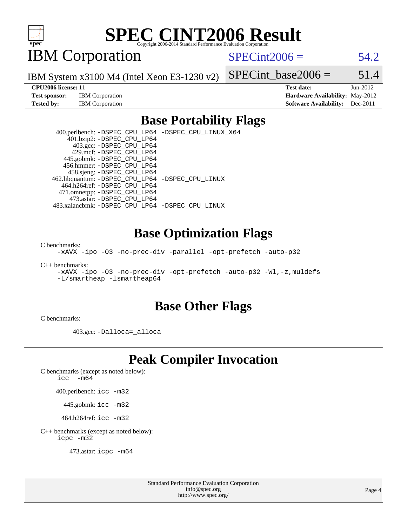

IBM Corporation

 $SPECint2006 = 54.2$  $SPECint2006 = 54.2$ 

IBM System x3100 M4 (Intel Xeon E3-1230 v2)

**[Test sponsor:](http://www.spec.org/auto/cpu2006/Docs/result-fields.html#Testsponsor)** IBM Corporation **[Hardware Availability:](http://www.spec.org/auto/cpu2006/Docs/result-fields.html#HardwareAvailability)** May-2012

SPECint base2006 =  $51.4$ **[CPU2006 license:](http://www.spec.org/auto/cpu2006/Docs/result-fields.html#CPU2006license)** 11 **[Test date:](http://www.spec.org/auto/cpu2006/Docs/result-fields.html#Testdate)** Jun-2012

**[Tested by:](http://www.spec.org/auto/cpu2006/Docs/result-fields.html#Testedby)** IBM Corporation **[Software Availability:](http://www.spec.org/auto/cpu2006/Docs/result-fields.html#SoftwareAvailability)** Dec-2011

### **[Base Portability Flags](http://www.spec.org/auto/cpu2006/Docs/result-fields.html#BasePortabilityFlags)**

 400.perlbench: [-DSPEC\\_CPU\\_LP64](http://www.spec.org/cpu2006/results/res2012q3/cpu2006-20120702-23312.flags.html#b400.perlbench_basePORTABILITY_DSPEC_CPU_LP64) [-DSPEC\\_CPU\\_LINUX\\_X64](http://www.spec.org/cpu2006/results/res2012q3/cpu2006-20120702-23312.flags.html#b400.perlbench_baseCPORTABILITY_DSPEC_CPU_LINUX_X64) 401.bzip2: [-DSPEC\\_CPU\\_LP64](http://www.spec.org/cpu2006/results/res2012q3/cpu2006-20120702-23312.flags.html#suite_basePORTABILITY401_bzip2_DSPEC_CPU_LP64) 403.gcc: [-DSPEC\\_CPU\\_LP64](http://www.spec.org/cpu2006/results/res2012q3/cpu2006-20120702-23312.flags.html#suite_basePORTABILITY403_gcc_DSPEC_CPU_LP64) 429.mcf: [-DSPEC\\_CPU\\_LP64](http://www.spec.org/cpu2006/results/res2012q3/cpu2006-20120702-23312.flags.html#suite_basePORTABILITY429_mcf_DSPEC_CPU_LP64) 445.gobmk: [-DSPEC\\_CPU\\_LP64](http://www.spec.org/cpu2006/results/res2012q3/cpu2006-20120702-23312.flags.html#suite_basePORTABILITY445_gobmk_DSPEC_CPU_LP64) 456.hmmer: [-DSPEC\\_CPU\\_LP64](http://www.spec.org/cpu2006/results/res2012q3/cpu2006-20120702-23312.flags.html#suite_basePORTABILITY456_hmmer_DSPEC_CPU_LP64) 458.sjeng: [-DSPEC\\_CPU\\_LP64](http://www.spec.org/cpu2006/results/res2012q3/cpu2006-20120702-23312.flags.html#suite_basePORTABILITY458_sjeng_DSPEC_CPU_LP64) 462.libquantum: [-DSPEC\\_CPU\\_LP64](http://www.spec.org/cpu2006/results/res2012q3/cpu2006-20120702-23312.flags.html#suite_basePORTABILITY462_libquantum_DSPEC_CPU_LP64) [-DSPEC\\_CPU\\_LINUX](http://www.spec.org/cpu2006/results/res2012q3/cpu2006-20120702-23312.flags.html#b462.libquantum_baseCPORTABILITY_DSPEC_CPU_LINUX) 464.h264ref: [-DSPEC\\_CPU\\_LP64](http://www.spec.org/cpu2006/results/res2012q3/cpu2006-20120702-23312.flags.html#suite_basePORTABILITY464_h264ref_DSPEC_CPU_LP64) 471.omnetpp: [-DSPEC\\_CPU\\_LP64](http://www.spec.org/cpu2006/results/res2012q3/cpu2006-20120702-23312.flags.html#suite_basePORTABILITY471_omnetpp_DSPEC_CPU_LP64) 473.astar: [-DSPEC\\_CPU\\_LP64](http://www.spec.org/cpu2006/results/res2012q3/cpu2006-20120702-23312.flags.html#suite_basePORTABILITY473_astar_DSPEC_CPU_LP64) 483.xalancbmk: [-DSPEC\\_CPU\\_LP64](http://www.spec.org/cpu2006/results/res2012q3/cpu2006-20120702-23312.flags.html#suite_basePORTABILITY483_xalancbmk_DSPEC_CPU_LP64) [-DSPEC\\_CPU\\_LINUX](http://www.spec.org/cpu2006/results/res2012q3/cpu2006-20120702-23312.flags.html#b483.xalancbmk_baseCXXPORTABILITY_DSPEC_CPU_LINUX)

### **[Base Optimization Flags](http://www.spec.org/auto/cpu2006/Docs/result-fields.html#BaseOptimizationFlags)**

[C benchmarks](http://www.spec.org/auto/cpu2006/Docs/result-fields.html#Cbenchmarks):

[-xAVX](http://www.spec.org/cpu2006/results/res2012q3/cpu2006-20120702-23312.flags.html#user_CCbase_f-xAVX) [-ipo](http://www.spec.org/cpu2006/results/res2012q3/cpu2006-20120702-23312.flags.html#user_CCbase_f-ipo) [-O3](http://www.spec.org/cpu2006/results/res2012q3/cpu2006-20120702-23312.flags.html#user_CCbase_f-O3) [-no-prec-div](http://www.spec.org/cpu2006/results/res2012q3/cpu2006-20120702-23312.flags.html#user_CCbase_f-no-prec-div) [-parallel](http://www.spec.org/cpu2006/results/res2012q3/cpu2006-20120702-23312.flags.html#user_CCbase_f-parallel) [-opt-prefetch](http://www.spec.org/cpu2006/results/res2012q3/cpu2006-20120702-23312.flags.html#user_CCbase_f-opt-prefetch) [-auto-p32](http://www.spec.org/cpu2006/results/res2012q3/cpu2006-20120702-23312.flags.html#user_CCbase_f-auto-p32)

[C++ benchmarks:](http://www.spec.org/auto/cpu2006/Docs/result-fields.html#CXXbenchmarks)

[-xAVX](http://www.spec.org/cpu2006/results/res2012q3/cpu2006-20120702-23312.flags.html#user_CXXbase_f-xAVX) [-ipo](http://www.spec.org/cpu2006/results/res2012q3/cpu2006-20120702-23312.flags.html#user_CXXbase_f-ipo) [-O3](http://www.spec.org/cpu2006/results/res2012q3/cpu2006-20120702-23312.flags.html#user_CXXbase_f-O3) [-no-prec-div](http://www.spec.org/cpu2006/results/res2012q3/cpu2006-20120702-23312.flags.html#user_CXXbase_f-no-prec-div) [-opt-prefetch](http://www.spec.org/cpu2006/results/res2012q3/cpu2006-20120702-23312.flags.html#user_CXXbase_f-opt-prefetch) [-auto-p32](http://www.spec.org/cpu2006/results/res2012q3/cpu2006-20120702-23312.flags.html#user_CXXbase_f-auto-p32) [-Wl,-z,muldefs](http://www.spec.org/cpu2006/results/res2012q3/cpu2006-20120702-23312.flags.html#user_CXXbase_link_force_multiple1_74079c344b956b9658436fd1b6dd3a8a) [-L/smartheap -lsmartheap64](http://www.spec.org/cpu2006/results/res2012q3/cpu2006-20120702-23312.flags.html#user_CXXbase_SmartHeap64_5e654037dadeae1fe403ab4b4466e60b)

### **[Base Other Flags](http://www.spec.org/auto/cpu2006/Docs/result-fields.html#BaseOtherFlags)**

[C benchmarks](http://www.spec.org/auto/cpu2006/Docs/result-fields.html#Cbenchmarks):

403.gcc: [-Dalloca=\\_alloca](http://www.spec.org/cpu2006/results/res2012q3/cpu2006-20120702-23312.flags.html#b403.gcc_baseEXTRA_CFLAGS_Dalloca_be3056838c12de2578596ca5467af7f3)

# **[Peak Compiler Invocation](http://www.spec.org/auto/cpu2006/Docs/result-fields.html#PeakCompilerInvocation)**

[C benchmarks \(except as noted below\)](http://www.spec.org/auto/cpu2006/Docs/result-fields.html#Cbenchmarksexceptasnotedbelow):

icc  $-m64$ 

400.perlbench: [icc -m32](http://www.spec.org/cpu2006/results/res2012q3/cpu2006-20120702-23312.flags.html#user_peakCCLD400_perlbench_intel_icc_a6a621f8d50482236b970c6ac5f55f93)

445.gobmk: [icc -m32](http://www.spec.org/cpu2006/results/res2012q3/cpu2006-20120702-23312.flags.html#user_peakCCLD445_gobmk_intel_icc_a6a621f8d50482236b970c6ac5f55f93)

464.h264ref: [icc -m32](http://www.spec.org/cpu2006/results/res2012q3/cpu2006-20120702-23312.flags.html#user_peakCCLD464_h264ref_intel_icc_a6a621f8d50482236b970c6ac5f55f93)

[C++ benchmarks \(except as noted below\):](http://www.spec.org/auto/cpu2006/Docs/result-fields.html#CXXbenchmarksexceptasnotedbelow) [icpc -m32](http://www.spec.org/cpu2006/results/res2012q3/cpu2006-20120702-23312.flags.html#user_CXXpeak_intel_icpc_4e5a5ef1a53fd332b3c49e69c3330699)

473.astar: [icpc -m64](http://www.spec.org/cpu2006/results/res2012q3/cpu2006-20120702-23312.flags.html#user_peakCXXLD473_astar_intel_icpc_64bit_fc66a5337ce925472a5c54ad6a0de310)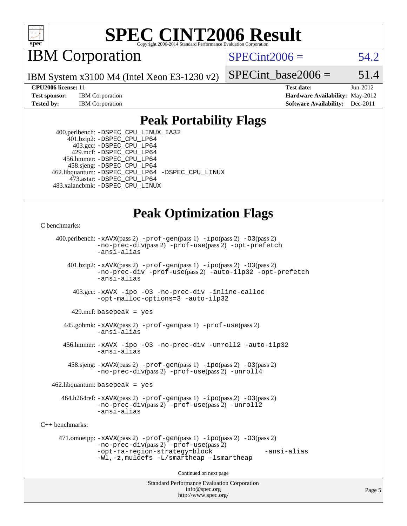

IBM Corporation

 $SPECint2006 = 54.2$  $SPECint2006 = 54.2$ 

IBM System x3100 M4 (Intel Xeon E3-1230 v2)

SPECint base2006 =  $51.4$ 

**[CPU2006 license:](http://www.spec.org/auto/cpu2006/Docs/result-fields.html#CPU2006license)** 11 **[Test date:](http://www.spec.org/auto/cpu2006/Docs/result-fields.html#Testdate)** Jun-2012 **[Test sponsor:](http://www.spec.org/auto/cpu2006/Docs/result-fields.html#Testsponsor)** IBM Corporation **[Hardware Availability:](http://www.spec.org/auto/cpu2006/Docs/result-fields.html#HardwareAvailability)** May-2012 **[Tested by:](http://www.spec.org/auto/cpu2006/Docs/result-fields.html#Testedby)** IBM Corporation **[Software Availability:](http://www.spec.org/auto/cpu2006/Docs/result-fields.html#SoftwareAvailability)** Dec-2011

### **[Peak Portability Flags](http://www.spec.org/auto/cpu2006/Docs/result-fields.html#PeakPortabilityFlags)**

 400.perlbench: [-DSPEC\\_CPU\\_LINUX\\_IA32](http://www.spec.org/cpu2006/results/res2012q3/cpu2006-20120702-23312.flags.html#b400.perlbench_peakCPORTABILITY_DSPEC_CPU_LINUX_IA32) 401.bzip2: [-DSPEC\\_CPU\\_LP64](http://www.spec.org/cpu2006/results/res2012q3/cpu2006-20120702-23312.flags.html#suite_peakPORTABILITY401_bzip2_DSPEC_CPU_LP64) 403.gcc: [-DSPEC\\_CPU\\_LP64](http://www.spec.org/cpu2006/results/res2012q3/cpu2006-20120702-23312.flags.html#suite_peakPORTABILITY403_gcc_DSPEC_CPU_LP64) 429.mcf: [-DSPEC\\_CPU\\_LP64](http://www.spec.org/cpu2006/results/res2012q3/cpu2006-20120702-23312.flags.html#suite_peakPORTABILITY429_mcf_DSPEC_CPU_LP64) 456.hmmer: [-DSPEC\\_CPU\\_LP64](http://www.spec.org/cpu2006/results/res2012q3/cpu2006-20120702-23312.flags.html#suite_peakPORTABILITY456_hmmer_DSPEC_CPU_LP64) 458.sjeng: [-DSPEC\\_CPU\\_LP64](http://www.spec.org/cpu2006/results/res2012q3/cpu2006-20120702-23312.flags.html#suite_peakPORTABILITY458_sjeng_DSPEC_CPU_LP64) 462.libquantum: [-DSPEC\\_CPU\\_LP64](http://www.spec.org/cpu2006/results/res2012q3/cpu2006-20120702-23312.flags.html#suite_peakPORTABILITY462_libquantum_DSPEC_CPU_LP64) [-DSPEC\\_CPU\\_LINUX](http://www.spec.org/cpu2006/results/res2012q3/cpu2006-20120702-23312.flags.html#b462.libquantum_peakCPORTABILITY_DSPEC_CPU_LINUX) 473.astar: [-DSPEC\\_CPU\\_LP64](http://www.spec.org/cpu2006/results/res2012q3/cpu2006-20120702-23312.flags.html#suite_peakPORTABILITY473_astar_DSPEC_CPU_LP64) 483.xalancbmk: [-DSPEC\\_CPU\\_LINUX](http://www.spec.org/cpu2006/results/res2012q3/cpu2006-20120702-23312.flags.html#b483.xalancbmk_peakCXXPORTABILITY_DSPEC_CPU_LINUX)

# **[Peak Optimization Flags](http://www.spec.org/auto/cpu2006/Docs/result-fields.html#PeakOptimizationFlags)**

```
C benchmarks:
```

```
Standard Performance Evaluation Corporation
                                          info@spec.org
     400.perlbench: -xAVX(pass 2) -prof-gen(pass 1) -ipo(pass 2) -O3(pass 2)
                -no-prec-div(pass 2) -prof-use(pass 2) -opt-prefetch
                -ansi-alias
        401.bzip2: -xAVX(pass 2) -prof-gen(pass 1) -ipo(pass 2) -O3(pass 2)
                -no-prec-div -prof-use(pass 2) -auto-ilp32 -opt-prefetch
                -ansi-alias
          403.gcc: -xAVX -ipo -O3 -no-prec-div -inline-calloc
                -opt-malloc-options=3 -auto-ilp32
         429.mcf: basepeak = yes
       445.gobmk: -xAVX(pass 2) -prof-gen(pass 1) -prof-use(pass 2)
                -ansi-alias
       456.hmmer: -xAVX -ipo -O3 -no-prec-div -unroll2 -auto-ilp32
                -ansi-alias
         458.sjeng: -xAVX(pass 2) -prof-gen(pass 1) -ipo(pass 2) -O3(pass 2)
                -no-prec-div(pass 2) -prof-use(pass 2) -unroll4
    462.libquantum: basepeak = yes
       464.h264ref: -xAVX(pass 2) -prof-gen(pass 1) -ipo(pass 2) -O3(pass 2)
                -no-prec-div(pass 2) -prof-use(pass 2) -unroll2
                -ansi-alias
C++ benchmarks: 
      471.omnetpp: -xAVX(pass 2) -prof-gen(pass 1) -ipo(pass 2) -O3(pass 2)
                -no-prec-div(pass 2) -prof-use(pass 2)
                -opt-ra-region-strategy=block -ansi-alias
                -Wl,-z,muldefs -L/smartheap -lsmartheap
                                        Continued on next page
```
<http://www.spec.org/>